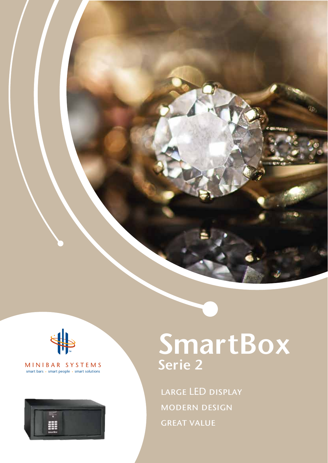

#### MINIBAR SYSTEMS smart bars · smart people · smart solutions



# SmartBox Serie 2

LARGE LED DISPLAY modern design **GREAT VALUE**